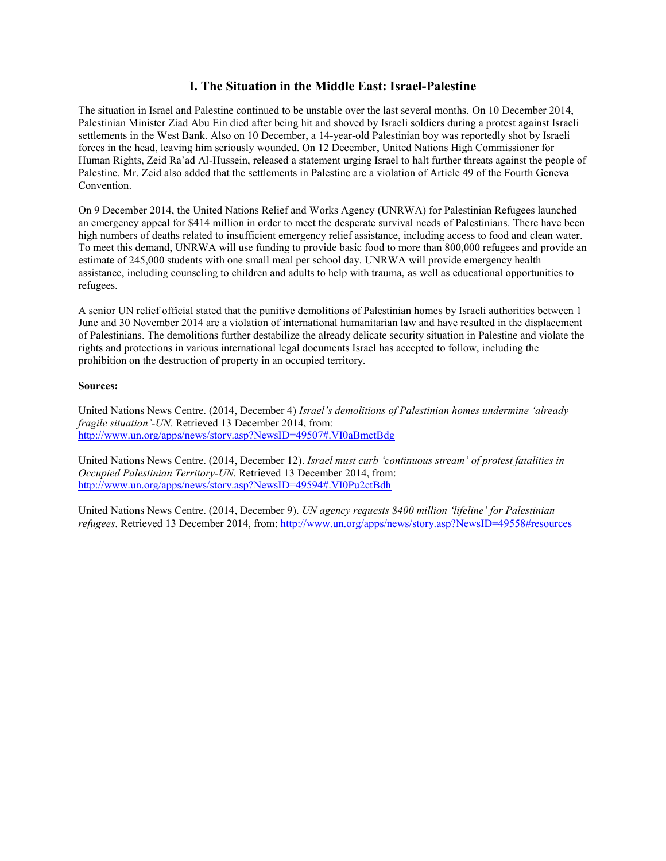## **I. The Situation in the Middle East: Israel-Palestine**

The situation in Israel and Palestine continued to be unstable over the last several months. On 10 December 2014, Palestinian Minister Ziad Abu Ein died after being hit and shoved by Israeli soldiers during a protest against Israeli settlements in the West Bank. Also on 10 December, a 14-year-old Palestinian boy was reportedly shot by Israeli forces in the head, leaving him seriously wounded. On 12 December, United Nations High Commissioner for Human Rights, Zeid Ra'ad Al-Hussein, released a statement urging Israel to halt further threats against the people of Palestine. Mr. Zeid also added that the settlements in Palestine are a violation of Article 49 of the Fourth Geneva Convention.

On 9 December 2014, the United Nations Relief and Works Agency (UNRWA) for Palestinian Refugees launched an emergency appeal for \$414 million in order to meet the desperate survival needs of Palestinians. There have been high numbers of deaths related to insufficient emergency relief assistance, including access to food and clean water. To meet this demand, UNRWA will use funding to provide basic food to more than 800,000 refugees and provide an estimate of 245,000 students with one small meal per school day. UNRWA will provide emergency health assistance, including counseling to children and adults to help with trauma, as well as educational opportunities to refugees.

A senior UN relief official stated that the punitive demolitions of Palestinian homes by Israeli authorities between 1 June and 30 November 2014 are a violation of international humanitarian law and have resulted in the displacement of Palestinians. The demolitions further destabilize the already delicate security situation in Palestine and violate the rights and protections in various international legal documents Israel has accepted to follow, including the prohibition on the destruction of property in an occupied territory.

## **Sources:**

United Nations News Centre. (2014, December 4) *Israel's demolitions of Palestinian homes undermine 'already fragile situation'-UN*. Retrieved 13 December 2014, from: <http://www.un.org/apps/news/story.asp?NewsID=49507#.VI0aBmctBdg>

United Nations News Centre. (2014, December 12). *Israel must curb 'continuous stream' of protest fatalities in Occupied Palestinian Territory-UN*. Retrieved 13 December 2014, from: <http://www.un.org/apps/news/story.asp?NewsID=49594#.VI0Pu2ctBdh>

United Nations News Centre. (2014, December 9). *UN agency requests \$400 million 'lifeline' for Palestinian refugees*. Retrieved 13 December 2014, from: <http://www.un.org/apps/news/story.asp?NewsID=49558#resources>